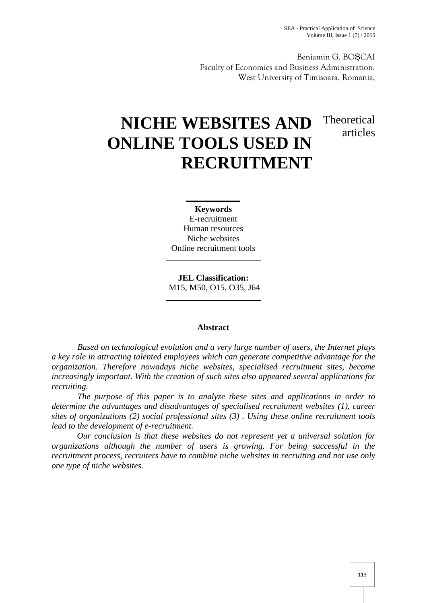Beniamin G. BOŞCAI Faculty of Economics and Business Administration, West University of Timisoara, Romania,

# **NICHE WEBSITES AND ONLINE TOOLS USED IN RECRUITMENT** Theoretical articles

**Keywords** E-recruitment Human resources Niche websites Online recruitment tools

**JEL Classification:** M15, M50, O15, O35, J64

# **Abstract**

*Based on technological evolution and a very large number of users, the Internet plays a key role in attracting talented employees which can generate competitive advantage for the organization. Therefore nowadays niche websites, specialised recruitment sites, become increasingly important. With the creation of such sites also appeared several applications for recruiting.*

*The purpose of this paper is to analyze these sites and applications in order to determine the advantages and disadvantages of specialised recruitment websites (1), career sites of organizations (2) social professional sites (3) .Using these online recruitment tools lead to the development of e-recruitment.*

*Our conclusion is that these websites do not represent yet a universal solution for organizations although the number of users is growing. For being successful in the recruitment process, recruiters have to combine niche websites in recruiting and not use only one type of niche websites.*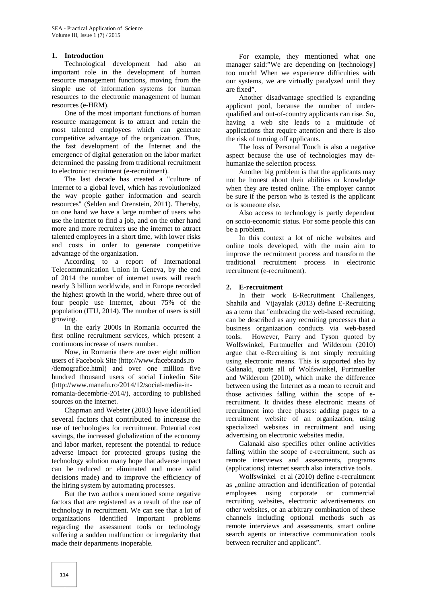### **1. Introduction**

Technological development had also an important role in the development of human resource management functions, moving from the simple use of information systems for human resources to the electronic management of human resources (e-HRM).

One of the most important functions of human resource management is to attract and retain the most talented employees which can generate competitive advantage of the organization. Thus, the fast development of the Internet and the emergence of digital generation on the labor market determined the passing from traditional recruitment to electronic recruitment (e-recruitment).

The last decade has created a "culture of Internet to a global level, which has revolutionized the way people gather information and search resources" (Selden and Orenstein, 2011). Thereby, on one hand we have a large number of users who use the internet to find a job, and on the other hand more and more recruiters use the internet to attract talented employees in a short time, with lower risks and costs in order to generate competitive advantage of the organization.

According to a report of International Telecommunication Union in Geneva, by the end of 2014 the number of internet users will reach nearly 3 billion worldwide, and in Europe recorded the highest growth in the world, where three out of four people use Internet, about 75% of the population (ITU, 2014). The number of users is still growing.

In the early 2000s in Romania occurred the first online recruitment services, which present a continuous increase of users number.

Now, in Romania there are over eight million users of Facebook Site (http://www.facebrands.ro /demografice.html) and over one million five hundred thousand users of social Linkedin Site (http://www.manafu.ro/2014/12/social-media-inromania-decembrie-2014/), according to published sources on the internet.

Chapman and Webster (2003) have identified several factors that contributed to increase the use of technologies for recruitment. Potential cost savings, the increased globalization of the economy and labor market, represent the potential to reduce adverse impact for protected groups (using the technology solution many hope that adverse impact can be reduced or eliminated and more valid decisions made) and to improve the efficiency of the hiring system by automating processes.

But the two authors mentioned some negative factors that are registered as a result of the use of technology in recruitment. We can see that a lot of organizations identified important problems regarding the assessment tools or technology suffering a sudden malfunction or irregularity that made their departments inoperable.

For example, they mentioned what one manager said:"We are depending on [technology] too much! When we experience difficulties with our systems, we are virtually paralyzed until they are fixed".

Another disadvantage specified is expanding applicant pool, because the number of under qualified and out-of-country applicants can rise. So, having a web site leads to a multitude of applications that require attention and there is also the risk of turning off applicants.

The loss of Personal Touch is also a negative aspect because the use of technologies may de humanize the selection process.

Another big problem is that the applicants may not be honest about their abilities or knowledge when they are tested online. The employer cannot be sure if the person who is tested is the applicant or is someone else.

Also access to technology is partly dependent on socio-economic status. For some people this can be a problem.

In this context a lot of niche websites and online tools developed, with the main aim to improve the recruitment process and transform the traditional recruitment process in electronic recruitment (e-recruitment).

#### **2. E-recruitment**

In their work E-Recruitment Challenges, Shahila and Vijayalak (2013) define E-Recruiting as a term that "embracing the web-based recruiting, can be described as any recruiting processes that a business organization conducts via web-based tools. However, Parry and Tyson quoted by Wolfswinkel, Furtmueller and Wilderom (2010) argue that e-Recruiting is not simply recruiting using electronic means. This is supported also by Galanaki, quote all of Wolfswinkel, Furtmueller and Wilderom (2010), which make the difference between using the Internet as a mean to recruit and those activities falling within the scope of erecruitment. It divides these electronic means of recruitment into three phases: adding pages to a recruitment website of an organization, using specialized websites in recruitment and using advertising on electronic websites media.

Galanaki also specifies other online activities falling within the scope of e-recruitment, such as remote interviews and assessments, programs (applications) internet search also interactive tools.

Wolfswinkel et al (2010) define e-recruitment as "online attraction and identification of potential employees using corporate or commercial recruiting websites, electronic advertisements on other websites, or an arbitrary combination of these channels including optional methods such as remote interviews and assessments, smart online search agents or interactive communication tools between recruiter and applicant".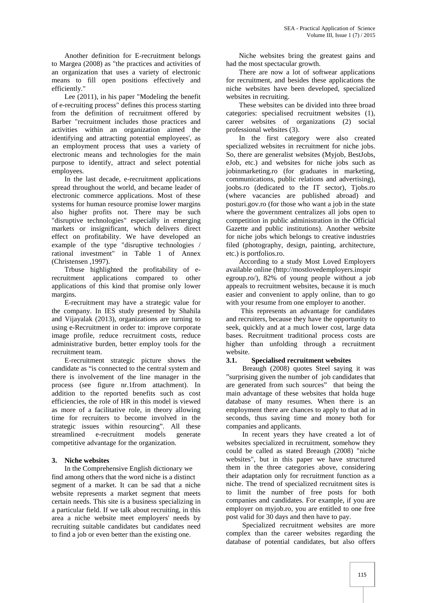Another definition for E-recruitment belongs to Margea (2008) as "the practices and activities of an organization that uses a variety of electronic means to fill open positions effectively and efficiently."

Lee (2011), in his paper "Modeling the benefit of e-recruiting process" defines this process starting from the definition of recruitment offered by Barber "recruitment includes those practices and activities within an organization aimed the identifying and attracting potential employees', as an employment process that uses a variety of electronic means and technologies for the main purpose to identify, attract and select potential employees.

In the last decade, e-recruitment applications spread throughout the world, and became leader of electronic commerce applications. Most of these systems for human resource promise lower margins also higher profits not. There may be such "disruptive technologies" especially in emerging markets or insignificant, which delivers direct effect on profitability. We have developed an example of the type "disruptive technologies / rational investment" in Table 1 of Annex (Christensen ,1997).

Trbuse highlighted the profitability of erecruitment applications compared to other applications of this kind that promise only lower margins.

E-recruitment may have a strategic value for the company. In IES study presented by Shahila and Vijayalak (2013), organizations are turning to using e-Recruitment in order to: improve corporate image profile, reduce recruitment costs, reduce administrative burden, better employ tools for the recruitment team.

E-recruitment strategic picture shows the candidate as "is connected to the central system and there is involvement of the line manager in the process (see figure nr.1from attachment). In addition to the reported benefits such as cost efficiencies, the role of HR in this model is viewed as more of a facilitative role, in theory allowing time for recruiters to become involved in the strategic issues within resourcing". All these<br>streamlined e-recruitment models generate streamlined e-recruitment models generate competitive advantage for the organization.

### **3. Niche websites**

In the Comprehensive English dictionary we find among others that the word niche is a distinct segment of a market. It can be sad that a niche website represents a market segment that meets certain needs. This site is a business specializing in a particular field. If we talk about recruiting, in this area a niche website meet employers' needs by recruiting suitable candidates but candidates need to find a job or even better than the existing one.

Niche websites bring the greatest gains and had the most spectacular growth.

There are now a lot of softwear applications for recruitment, and besides these applications the niche websites have been developed, specialized websites in recruiting.

These websites can be divided into three broad categories: specialised recruitment websites (1), career websites of organizations (2) social professional websites (3).

In the first category were also created specialized websites in recruitment for niche jobs. So, there are generalist websites (Myjob, BestJobs, eJob, etc.) and websites for niche jobs such as jobinmarketing.ro (for graduates in marketing, communications, public relations and advertising), joobs.ro (dedicated to the IT sector), Tjobs.ro (where vacancies are published abroad) and posturi.gov.ro (for those who want a job in the state where the government centralizes all jobs open to competition in public administration in the Official Gazette and public institutions). Another website for niche jobs which belongs to creative industries filed (photography, design, painting, architecture, etc.) is portfolios.ro.

According to a study Most Loved Employers available online (http://mostlovedemployers.inspir egroup.ro/), 82% of young people without a job appeals to recruitment websites, because it is much easier and convenient to apply online, than to go with your resume from one employer to another.

This represents an advantage for candidates and recruiters, because they have the opportunity to seek, quickly and at a much lower cost, large data bases. Recruitment traditional process costs are higher than unfolding through a recruitment website.

### **3.1. Specialised recruitment websites**

Breaugh (2008) quotes Steel saying it was "surprising given the number of job candidates that are generated from such sources" that being the main advantage of these websites that holda huge database of many resumes. When there is an employment there are chances to apply to that ad in seconds, thus saving time and money both for companies and applicants.

In recent years they have created a lot of websites specialized in recruitment, somehow they could be called as stated Breaugh (2008) "niche websites", but in this paper we have structured them in the three categories above, considering their adaptation only for recruitment function as a niche. The trend of specialized recruitment sites is to limit the number of free posts for both companies and candidates. For example, if you are employer on myjob.ro, you are entitled to one free post valid for 30 days and then have to pay.

Specialized recruitment websites are more complex than the career websites regarding the database of potential candidates, but also offers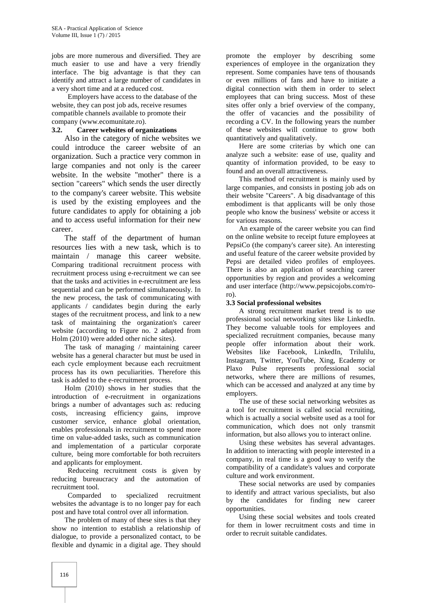jobs are more numerous and diversified. They are much easier to use and have a very friendly interface. The big advantage is that they can identify and attract a large number of candidates in a very short time and at a reduced cost.

Employers have access to the database of the website, they can post job ads, receive resumes compatible channels available to promote their company (www.ecomunitate.ro).

## **3.2. Career websites of organizations**

Also in the category of niche websites we could introduce the career website of an organization. Such a practice very common in large companies and not only is the career website. In the website "mother" there is a section "careers" which sends the user directly to the company's career website. This website is used by the existing employees and the future candidates to apply for obtaining a job and to access useful information for their new career.

The staff of the department of human resources lies with a new task, which is to maintain / manage this career website. Comparing traditional recruitment process with recruitment process using e-recruitment we can see that the tasks and activities in e-recruitment are less sequential and can be performed simultaneously. In the new process, the task of communicating with applicants / candidates begin during the early stages of the recruitment process, and link to a new task of maintaining the organization's career website (according to Figure no. 2 adapted from Holm (2010) were added other niche sites).

The task of managing / maintaining career website has a general character but must be used in each cycle employment because each recruitment process has its own peculiarities. Therefore this task is added to the e-recruitment process.

Holm (2010) shows in her studies that the introduction of e-recruitment in organizations brings a number of advantages such as: reducing costs, increasing efficiency gains, improve customer service, enhance global orientation, enables professionals in recruitment to spend more time on value-added tasks, such as communication and implementation of a particular corporate culture, being more comfortable for both recruiters and applicants for employment.

Reduceing recruitment costs is given by reducing bureaucracy and the automation of recruitment tool.

Comparded to specialized recruitment websites the advantage is to no longer pay for each post and have total control over all information.

The problem of many of these sites is that they show no intention to establish a relationship of dialogue, to provide a personalized contact, to be flexible and dynamic in a digital age. They should

promote the employer by describing some experiences of employee in the organization they represent. Some companies have tens of thousands or even millions of fans and have to initiate a digital connection with them in order to select employees that can bring success. Most of these sites offer only a brief overview of the company, the offer of vacancies and the possibility of recording a CV. In the following years the number of these websites will continue to grow both quantitatively and qualitatively.

Here are some criterias by which one can analyze such a website: ease of use, quality and quantity of information provided, to be easy to found and an overall attractiveness.

This method of recruitment is mainly used by large companies, and consists in posting job ads on their website "Careers". A big disadvantage of this embodiment is that applicants will be only those people who know the business' website or access it for various reasons.

An example of the career website you can find on the online website to receipt future employees at PepsiCo (the company's career site). An interesting and useful feature of the career website provided by Pepsi are detailed video profiles of employees. There is also an application of searching career opportunities by region and provides a welcoming and user interface (http://www.pepsicojobs.com/roro).

### **3.3 Social professional websites**

A strong recruitment market trend is to use professional social networking sites like LinkedIn. They become valuable tools for employees and specialized recruitment companies, because many people offer information about their work. Websites like Facebook, LinkedIn, Trilulilu, Instagram, Twitter, YouTube, Xing, Ecademy or Plaxo Pulse represents professional social networks, where there are millions of resumes, which can be accessed and analyzed at any time by employers.

The use of these social networking websites as a tool for recruitment is called social recruiting, which is actually a social website used as a tool for communication, which does not only transmit information, but also allows you to interact online.

Using these websites has several advantages. In addition to interacting with people interested in a company, in real time is a good way to verify the compatibility of a candidate's values and corporate culture and work environment.

These social networks are used by companies to identify and attract various specialists, but also by the candidates for finding new career opportunities.

Using these social websites and tools created for them in lower recruitment costs and time in order to recruit suitable candidates.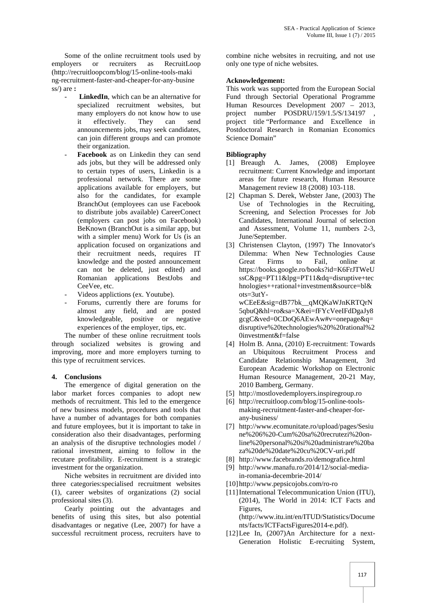Some of the online recruitment tools used by employers or recruiters as RecruitLoop (http://recruitloopcom/blog/15-online-tools-maki ng-recruitment-faster-and-cheaper-for-any-busine ss/) are **:**

- **LinkedIn**, which can be an alternative for specialized recruitment websites, but many employers do not know how to use it effectively. They can send announcements jobs, may seek candidates, can join different groups and can promote their organization.
- Facebook as on Linkedin they can send ads jobs, but they will be addressed only [1] Breaugh to certain types of users, Linkedin is a professional network. There are some applications available for employers, but also for the candidates, for example BranchOut (employees can use Facebook to distribute jobs available) CareerConect (employers can post jobs on Facebook) BeKnown (BranchOut is a similar app, but with a simpler menu) Work for Us (is an application focused on organizations and their recruitment needs, requires IT knowledge and the posted announcement can not be deleted, just edited) and Romanian applications BestJobs and CeeVee, etc.
- Videos applictions (ex. Youtube).
- Forums, currently there are forums for almost any field, and are posted knowledgeable, positive or negative experiences of the employer, tips, etc.

The number of these online recruitment tools through socialized websites is growing and improving, more and more employers turning to this type of recruitment services.

# **4. Conclusions**

The emergence of digital generation on the labor market forces companies to adopt new methods of recruitment. This led to the emergence of new business models, procedures and tools that have a number of advantages for both companies and future employees, but it is important to take in consideration also their disadvantages, performing an analysis of the disruptive technologies model / rational investment, aiming to follow in the recutare profitability. E-recruitment is a strategic investment for the organization.

Niche websites in recruitment are divided into three categories:specialised recruitment websites (1), career websites of organizations (2) social professional sites (3).

Cearly pointing out the advantages and benefits of using this sites, but also potential disadvantages or negative (Lee, 2007) for have a successful recruitment process, recruiters have to

combine niche websites in recruiting, and not use only one type of niche websites.

## **Acknowledgement:**

This work was supported from the European Social Fund through Sectorial Operational Programme Human Resources Development 2007 – 2013, project number POSDRU/159/1.5/S/134197 project title "Performance and Excellence in Postdoctoral Research in Romanian Economics Science Domain"

# **Bibliography**

- A. James, (2008) Employee recruitment: Current Knowledge and important areas for future research, Human Resource Management review 18 (2008) 103-118.
- [2] Chapman S. Derek, Webster Jane, (2003) The Use of Technologies in the Recruiting, Screening, and Selection Processes for Job Candidates, International Journal of selection and Assessment, Volume 11, numbers 2-3, June/September.
- [3] Christensen Clayton, (1997) The Innovator's Dilemma: When New Technologies Cause Great Firms to Fail, online at https://books.google.ro/books?id=K6FrJTWeU ssC&pg=PT11&lpg=PT11&dq=disruptive+tec hnologies++rational+investment&source=bl& ots=3utY wCEeE&sig=dB77bk\_\_qMQKaWJnKRTQrN

5qbuQ&hl=ro&sa=X&ei=fFYcVeeIFdDgaJy8 gcgC&ved=0CDoQ6AEwAw#v=onepage&q= disruptive%20technologies%20%20rational%2 0investment&f=false

- [4] Holm B. Anna, (2010) E-recruitment: Towards an Ubiquitous Recruitment Process and Candidate Relationship Management, 3rd European Academic Workshop on Electronic Human Resource Management, 20-21 May, 2010 Bamberg, Germany.
- [5] http://mostlovedemployers.inspiregroup.ro
- [6] http://recruitloop.com/blog/15-online-tools making-recruitment-faster-and-cheaper-for any-business/
- http://www.ecomunitate.ro/upload/pages/Sesiu ne%206%20-Cum%20sa%20recrutezi%20online%20personal%20si%20administrare%20ba za%20de%20date%20cu%20CV-uri.pdf
- [8] http://www.facebrands.ro/demografice.html
- [9] http://www.manafu.ro/2014/12/social-mediain-romania-decembrie-2014/
- [10] http://www.pepsicojobs.com/ro-ro
- [11] International Telecommunication Union (ITU), (2014), The World in 2014: ICT Facts and Figures, (http://www.itu.int/en/ITUD/Statistics/Docume nts/facts/ICTFactsFigures2014-e.pdf).
- [12]Lee In, (2007)An Architecture for a next- Generation Holistic E-recruiting System,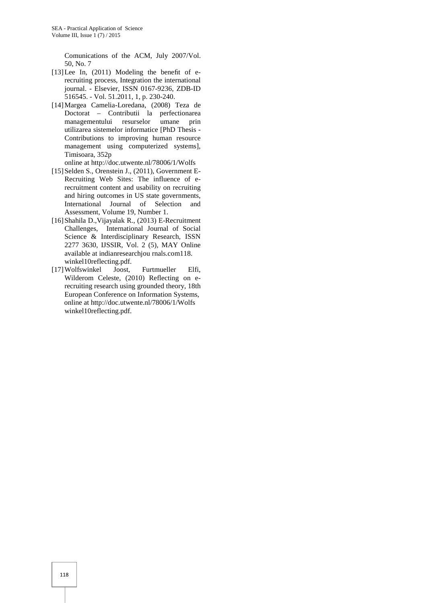Comunications of the ACM, July 2007/Vol. 50, No. 7

- [13] Lee In, (2011) Modeling the benefit of erecruiting process, Integration the international journal. - Elsevier, ISSN 0167-9236, ZDB-ID 516545. - Vol. 51.2011, 1, p. 230-240.
- [14]Margea Camelia-Loredana, (2008) Teza de Doctorat – Contributii la perfectionarea managementului resurselor umane prin utilizarea sistemelor informatice [PhD Thesis - Contributions to improving human resource management using computerized systems], Timisoara, 352p
- online at http://doc.utwente.nl/78006/1/Wolfs
- [15] Selden S., Orenstein J., (2011), Government E-Recruiting Web Sites: The influence of erecruitment content and usability on recruiting and hiring outcomes in US state governments, International Journal of Selection and Assessment, Volume 19, Number 1.
- [16]Shahila D.,Vijayalak R., (2013) E-Recruitment Challenges, International Journal of Social Science & Interdisciplinary Research, ISSN 2277 3630, IJSSIR, Vol. 2 (5), MAY Online available at indianresearchjou rnals.com118. winkel10reflecting.pdf.
- [17]Wolfswinkel Joost, Furtmueller Elfi, Wilderom Celeste, (2010) Reflecting on erecruiting research using grounded theory, 18th European Conference on Information Systems, online at http://doc.utwente.nl/78006/1/Wolfs winkel10reflecting.pdf.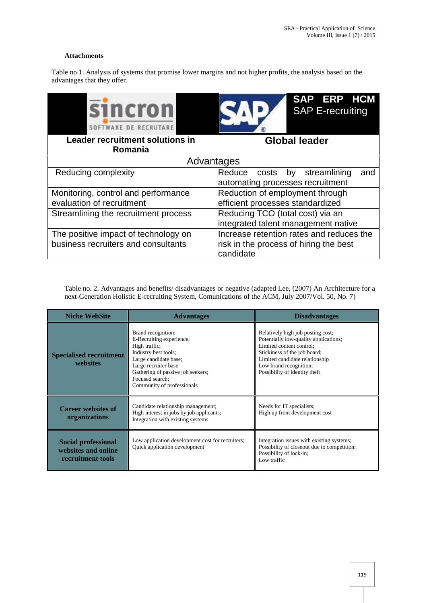# **Attachments**

Table no.1. Analysis of systems that promise lower margins and not higher profits, the analysis based on the advantages that they offer.

| <b>SINCTON</b><br><b>TWARE DE RECRIITARE</b>      | SAP ERP HCM<br><b>SAP E-recruiting</b>                                              |  |
|---------------------------------------------------|-------------------------------------------------------------------------------------|--|
| <b>Leader recruitment solutions in</b><br>Romania | <b>Global leader</b>                                                                |  |
| Advantages                                        |                                                                                     |  |
| Reducing complexity                               | streamlining<br>Reduce<br>costs<br>by by<br>and<br>automating processes recruitment |  |
| Monitoring, control and performance               | Reduction of employment through                                                     |  |
| evaluation of recruitment                         | efficient processes standardized                                                    |  |
| Streamlining the recruitment process              | Reducing TCO (total cost) via an<br>integrated talent management native             |  |
| The positive impact of technology on              | Increase retention rates and reduces the                                            |  |
| business recruiters and consultants               | risk in the process of hiring the best<br>candidate                                 |  |

Table no. 2. Advantages and benefits/ disadvantages or negative (adapted Lee, (2007) An Architecture for a next-Generation Holistic E-recruiting System, Comunications of the ACM, July 2007/Vol. 50, No. 7)

| <b>Niche WebSite</b>                                            | <b>Advantages</b>                                                                                                                                                                                                              | <b>Disadvantages</b>                                                                                                                                                                                                                |
|-----------------------------------------------------------------|--------------------------------------------------------------------------------------------------------------------------------------------------------------------------------------------------------------------------------|-------------------------------------------------------------------------------------------------------------------------------------------------------------------------------------------------------------------------------------|
| <b>Specialised recruitment</b><br>websites                      | Brand recognition;<br>E-Recruiting experience;<br>High traffic;<br>Industry best tools;<br>Large candidate base;<br>Large recruiter base<br>Gathering of passive job seekers;<br>Focused search:<br>Community of professionals | Relatively high job posting cost;<br>Potentially low-quality applications;<br>Limited content control:<br>Stickiness of the job board;<br>Limited candidate relationship<br>Low brand recognition;<br>Possibility of identity theft |
| <b>Career websites of</b><br>organizations                      | Candidate relationship management;<br>High interest in jobs by job applicants;<br>Integration with existing systems                                                                                                            | Needs for IT specialists;<br>High up front development cost                                                                                                                                                                         |
| Social professional<br>websites and online<br>recruitment tools | Low application development cost for recruiters;<br>Quick application development                                                                                                                                              | Integration issues with existing systems;<br>Possibility of closeout due to competition;<br>Possibility of lock-in;<br>Low traffic                                                                                                  |